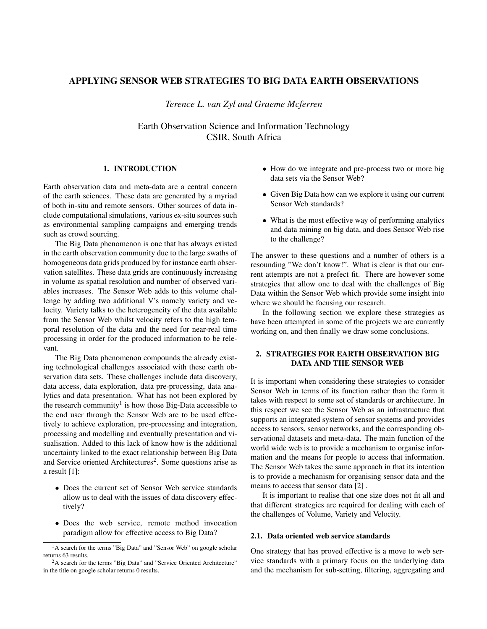# APPLYING SENSOR WEB STRATEGIES TO BIG DATA EARTH OBSERVATIONS

*Terence L. van Zyl and Graeme Mcferren*

Earth Observation Science and Information Technology CSIR, South Africa

## 1. INTRODUCTION

Earth observation data and meta-data are a central concern of the earth sciences. These data are generated by a myriad of both in-situ and remote sensors. Other sources of data include computational simulations, various ex-situ sources such as environmental sampling campaigns and emerging trends such as crowd sourcing.

The Big Data phenomenon is one that has always existed in the earth observation community due to the large swaths of homogeneous data grids produced by for instance earth observation satellites. These data grids are continuously increasing in volume as spatial resolution and number of observed variables increases. The Sensor Web adds to this volume challenge by adding two additional V's namely variety and velocity. Variety talks to the heterogeneity of the data available from the Sensor Web whilst velocity refers to the high temporal resolution of the data and the need for near-real time processing in order for the produced information to be relevant.

The Big Data phenomenon compounds the already existing technological challenges associated with these earth observation data sets. These challenges include data discovery, data access, data exploration, data pre-processing, data analytics and data presentation. What has not been explored by the research community<sup>1</sup> is how those Big-Data accessible to the end user through the Sensor Web are to be used effectively to achieve exploration, pre-processing and integration, processing and modelling and eventually presentation and visualisation. Added to this lack of know how is the additional uncertainty linked to the exact relationship between Big Data and Service oriented Architectures<sup>2</sup>. Some questions arise as a result [1]:

- Does the current set of Sensor Web service standards allow us to deal with the issues of data discovery effectively?
- Does the web service, remote method invocation paradigm allow for effective access to Big Data?
- How do we integrate and pre-process two or more big data sets via the Sensor Web?
- Given Big Data how can we explore it using our current Sensor Web standards?
- What is the most effective way of performing analytics and data mining on big data, and does Sensor Web rise to the challenge?

The answer to these questions and a number of others is a resounding "We don't know!". What is clear is that our current attempts are not a prefect fit. There are however some strategies that allow one to deal with the challenges of Big Data within the Sensor Web which provide some insight into where we should be focusing our research.

In the following section we explore these strategies as have been attempted in some of the projects we are currently working on, and then finally we draw some conclusions.

### 2. STRATEGIES FOR EARTH OBSERVATION BIG DATA AND THE SENSOR WEB

It is important when considering these strategies to consider Sensor Web in terms of its function rather than the form it takes with respect to some set of standards or architecture. In this respect we see the Sensor Web as an infrastructure that supports an integrated system of sensor systems and provides access to sensors, sensor networks, and the corresponding observational datasets and meta-data. The main function of the world wide web is to provide a mechanism to organise information and the means for people to access that information. The Sensor Web takes the same approach in that its intention is to provide a mechanism for organising sensor data and the means to access that sensor data [2] .

It is important to realise that one size does not fit all and that different strategies are required for dealing with each of the challenges of Volume, Variety and Velocity.

#### 2.1. Data oriented web service standards

One strategy that has proved effective is a move to web service standards with a primary focus on the underlying data and the mechanism for sub-setting, filtering, aggregating and

<sup>&</sup>lt;sup>1</sup>A search for the terms "Big Data" and "Sensor Web" on google scholar returns 63 results.

<sup>&</sup>lt;sup>2</sup>A search for the terms "Big Data" and "Service Oriented Architecture" in the title on google scholar returns 0 results.